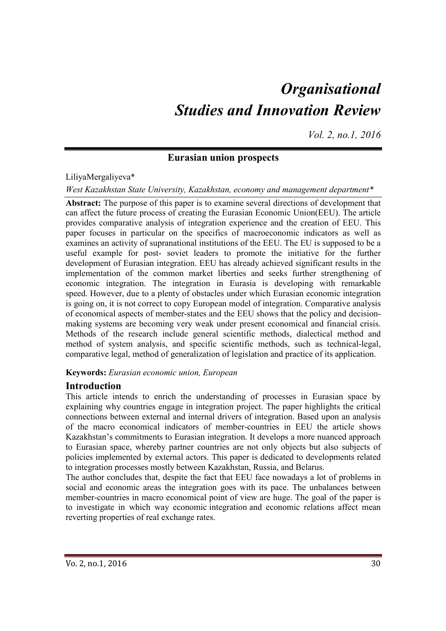# *Organisational Studies and Innovation Review*

*Vol. 2, no.1, 2016*

#### **Eurasian union prospects**

#### LiliyaMergaliyeva\*

#### *West Kazakhstan State University, Kazakhstan, economy and management department\**

**Abstract:** The purpose of this paper is to examine several directions of development that can affect the future process of creating the Eurasian Economic Union(EEU). The article provides comparative analysis of integration experience and the creation of EEU. This paper focuses in particular on the specifics of macroeconomic indicators as well as examines an activity of supranational institutions of the EEU. The EU is supposed to be a useful example for post- soviet leaders to promote the initiative for the further development of Eurasian integration. EEU has already achieved significant results in the implementation of the common market liberties and seeks further strengthening of economic integration. The integration in Eurasia is developing with remarkable speed. However, due to a plenty of obstacles under which Eurasian economic integration is going on, it is not correct to copy European model of integration. Comparative analysis of economical aspects of member-states and the EEU shows that the policy and decisionmaking systems are becoming very weak under present economical and financial crisis. Methods of the research include general scientific methods, dialectical method and method of system analysis, and specific scientific methods, such as technical-legal, comparative legal, method of generalization of legislation and practice of its application.

#### **Keywords:** *Eurasian economic union, European*

## **Introduction**

This article intends to enrich the understanding of processes in Eurasian space by explaining why countries engage in integration project. The paper highlights the critical connections between external and internal drivers of integration. Based upon an analysis of the macro economical indicators of member-countries in EEU the article shows Kazakhstan's commitments to Eurasian integration. It develops a more nuanced approach to Eurasian space, whereby partner countries are not only objects but also subjects of policies implemented by external actors. This paper is dedicated to developments related to integration processes mostly between Kazakhstan, Russia, and Belarus.

The author concludes that, despite the fact that EEU face nowadays a lot of problems in social and economic areas the integration goes with its pace. The unbalances between member-countries in macro economical point of view are huge. The goal of the paper is to investigate in which way economic integration and economic relations affect mean reverting properties of real exchange rates.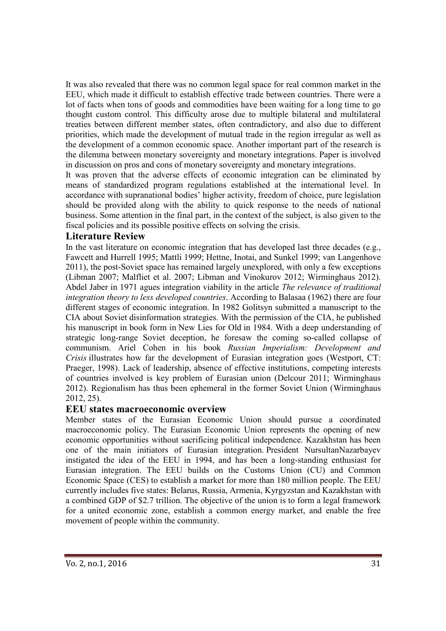It was also revealed that there was no common legal space for real common market in the EEU, which made it difficult to establish effective trade between countries. There were a lot of facts when tons of goods and commodities have been waiting for a long time to go thought custom control. This difficulty arose due to multiple bilateral and multilateral treaties between different member states, often contradictory, and also due to different priorities, which made the development of mutual trade in the region irregular as well as the development of a common economic space. Another important part of the research is the dilemma between monetary sovereignty and monetary integrations. Paper is involved in discussion on pros and cons of monetary sovereignty and monetary integrations.

It was proven that the adverse effects of economic integration can be eliminated by means of standardized program regulations established at the international level. In accordance with supranational bodies' higher activity, freedom of choice, pure legislation should be provided along with the ability to quick response to the needs of national business. Some attention in the final part, in the context of the subject, is also given to the fiscal policies and its possible positive effects on solving the crisis.

#### **Literature Review**

In the vast literature on economic integration that has developed last three decades (e.g., Fawcett and Hurrell 1995; Mattli 1999; Hettne, Inotai, and Sunkel 1999; van Langenhove 2011), the post-Soviet space has remained largely unexplored, with only a few exceptions (Libman 2007; Malfliet et al. 2007; Libman and Vinokurov 2012; Wirminghaus 2012). Abdel Jaber in 1971 agues integration viability in the article *The relevance of traditional integration theory to less developed countries*. According to Balasaa (1962) there are four different stages of economic integration. In 1982 Golitsyn submitted a manuscript to the CIA about Soviet disinformation strategies. With the permission of the CIA, he published his manuscript in book form in New Lies for Old in 1984. With a deep understanding of strategic long-range Soviet deception, he foresaw the coming so-called collapse of communism. Ariel Cohen in his book *Russian Imperialism: Development and Crisis* illustrates how far the development of Eurasian integration goes (Westport, CT: Praeger, 1998). Lack of leadership, absence of effective institutions, competing interests of countries involved is key problem of Eurasian union (Delcour 2011; Wirminghaus 2012). Regionalism has thus been ephemeral in the former Soviet Union (Wirminghaus 2012, 25).

## **EEU states macroeconomic overview**

Member states of the Eurasian Economic Union should pursue a coordinated macroeconomic policy. The Eurasian Economic Union represents the opening of new economic opportunities without sacrificing political independence. Kazakhstan has been one of the main initiators of Eurasian integration. President NursultanNazarbayev instigated the idea of the EEU in 1994, and has been a long-standing enthusiast for Eurasian integration. The EEU builds on the Customs Union (CU) and Common Economic Space (CES) to establish a market for more than 180 million people. The EEU currently includes five states: Belarus, Russia, Armenia, Kyrgyzstan and Kazakhstan with a combined GDP of \$2.7 trillion. The objective of the union is to form a legal framework for a united economic zone, establish a common energy market, and enable the free movement of people within the community.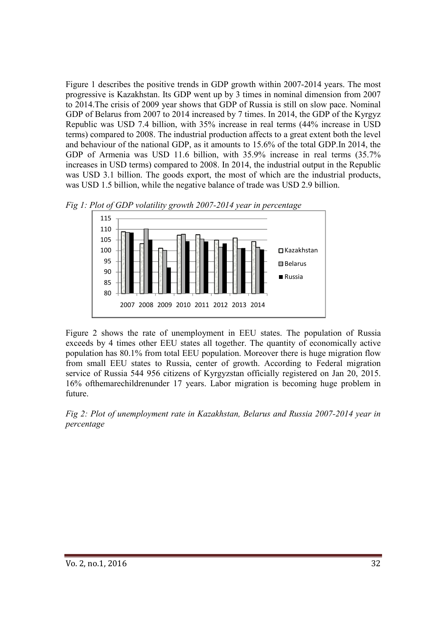Figure 1 describes the positive trends in GDP growth within 2007-2014 years. The most progressive is Kazakhstan. Its GDP went up by 3 times in nominal dimension from 2007 to 2014.The crisis of 2009 year shows that GDP of Russia is still on slow pace. Nominal GDP of Belarus from 2007 to 2014 increased by 7 times. In 2014, the GDP of the Kyrgyz Republic was USD 7.4 billion, with 35% increase in real terms (44% increase in USD terms) compared to 2008. The industrial production affects to a great extent both the level and behaviour of the national GDP, as it amounts to 15.6% of the total GDP.In 2014, the GDP of Armenia was USD 11.6 billion, with 35.9% increase in real terms (35.7% increases in USD terms) compared to 2008. In 2014, the industrial output in the Republic was USD 3.1 billion. The goods export, the most of which are the industrial products, was USD 1.5 billion, while the negative balance of trade was USD 2.9 billion.





Figure 2 shows the rate of unemployment in EEU states. The population of Russia exceeds by 4 times other EEU states all together. The quantity of economically active population has 80.1% from total EEU population. Moreover there is huge migration flow from small EEU states to Russia, center of growth. According to Federal migration service of Russia 544 956 citizens of Kyrgyzstan officially registered on Jan 20, 2015. 16% ofthemarechildrenunder 17 years. Labor migration is becoming huge problem in future.

*Fig 2: Plot of unemployment rate in Kazakhstan, Belarus and Russia 2007-2014 year in percentage*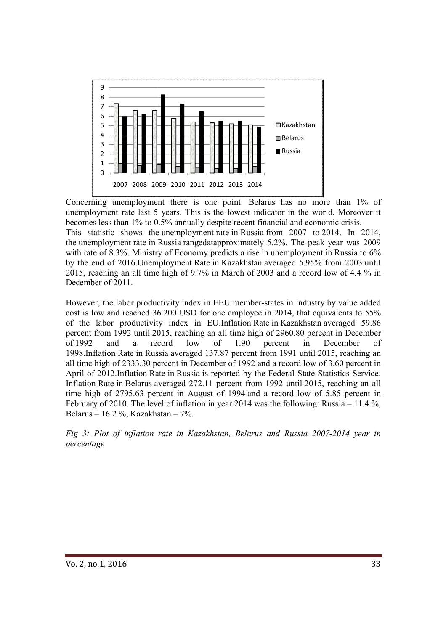

Concerning unemployment there is one point. Belarus has no more than 1% of unemployment rate last 5 years. This is the lowest indicator in the world. Moreover it becomes less than 1% to 0.5% annually despite recent financial and economic crisis. unemployment rate last 5 years. This is the lowest indicator in the world. Moreover it becomes less than 1% to 0.5% annually despite recent financial and economic crisis. This statistic shows the unemployment rate in Russi the unemployment rate in Russia rangedatapproximately 5.2%. The peak year was 2009 the unemployment rate in Russia rangedatapproximately 5.2%. The peak year was 2009 with rate of 8.3%. Ministry of Economy predicts a rise in unemployment in Russia to 6% by the end of 2016.Unemployment 2016.Unemployment Rate in Kazakhstan averaged 5.95% from 2003 2003 until 2015, reaching an all time high of  $9.7\%$  in March of 2003 and a record low of 4.4 % in December of 2011.

However, the labor productivity index in EEU member-states in industry by value added However, the labor productivity index in EEU member-states in industry by value added cost is low and reached 36 200 USD for one employee in 2014, that equivalents to 55% of the labor productivity index in EU. Inflation Rate in Kazakhstan averaged 59.86 percent from 1992 until 2015, reaching an all time high of 2960.80 percent in December of 1992 and a record low of 1.90 percent in December of percent from 1992 until 2015, reaching an all time high of 2960.80 percent in December<br>of 1992 and a record low of 1.90 percent in December of<br>1998.Inflation Rate in Russia averaged 137.87 percent from 1991 until 2015, rea all time high of 2333.30 percent in December of 1992 and a record low of 3.60 percent in April of 2012. Inflation Rate in Russia is reported by the Federal State Statistics Service. Inflation Rate in Belarus averaged 272.11 percent from 1992 until 2015, reaching an all time high of 2795.63 percent in August of 1994 and a record low of 5.85 percent in February of 2010. The level of inflation in year 2014 was the following: Russia – 11.4 %, Belarus – 16.2 %, Kazakhstan – 7%. in *lation*  2010 2011 2012 2013 2014 until 2015, reaching an all<br>ord low of 5.85 percent in<br>following: Russia – 11.4 %,

*Fig 3: Plot of inflation rate in Kazakhstan, Belarus and Russia 2007 2007-2014 year in percentage*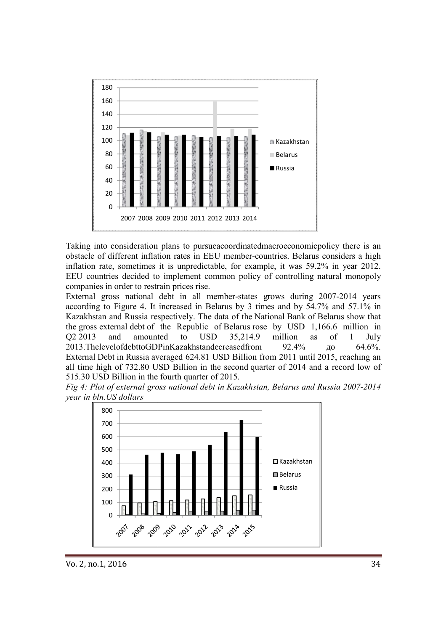

Taking into consideration plans to pursueacoordinatedmacroeconomicpolicy there is an obstacle of different inflation rates in EEU member-countries. Belarus considers a high inflation rate, sometimes it is unpredictable, for example, it was 59.2% in year 2012. EEU countries decided to implement common policy of controlling natural monopoly companies in order to restrain prices rise. er-countries. Belarus considers a high<br>example, it was 59.2% in year 2012.<br>olicy of controlling natural monopoly

companies in order to restrain prices rise.<br>External gross national debt in all member-states grows during 2007-2014 years according to Figure 4. It increased in Belarus by 3 times and by 54.7% and 57.1% in according to Figure 4. It increased in Belarus by 3 times and by 54.7% and 57.1% in<br>Kazakhstan and Russia respectively. The data of the National Bank of Belarus show that the gross external debt of the Republic of Belarus rose by USD 1,166.6 million in Q2 2013 and amounted to USD 35,214.9 million as of 1 July 2013.ThelevelofdebttoGDPinKazakhstandecreasedfrom 92. External Debt in Russia averaged 624.81 USD Billion from 2011 until 2015, reaching an all time high of 732.80 USD Billion in the second quarter of 2014 and a record low of 515.30 USD Billion in the fourth quarter of 2015. 92.4% до 64.6%.

*Fig 4: Plot of external gross national debt in Kazakhstan, Belarus and Russia 2007-2014 year in bln.US dollars* 

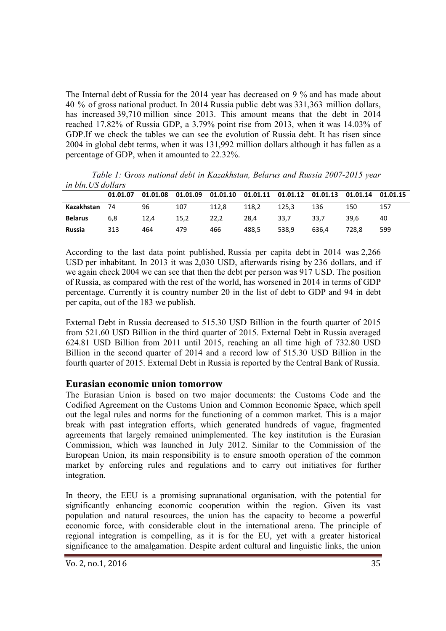The Internal debt of Russia for the 2014 year has decreased on 9 % and has made about 40 % of gross national product. In 2014 Russia public debt was 331,363 million dollars, has increased 39,710 million since 2013. This amount means that the debt in 2014 reached 17.82% of Russia GDP, a 3.79% point rise from 2013, when it was 14.03% of GDP.If we check the tables we can see the evolution of Russia debt. It has risen since 2004 in global debt terms, when it was 131,992 million dollars although it has fallen as a percentage of GDP, when it amounted to 22.32%.

*in bln.US dollars*  **01.01.07 01.01.08 01.01.09 01.01.10 01.01.11 01.01.12 01.01.13 01.01.14 01.01.15 Kazakhstan** 74 96 107 112,8 118,2 125,3 136 150 157 **Belarus** 6,8 12,4 15,2 22,2 28,4 33,7 33,7 39,6 40 **Russia** 313 464 479 466 488,5 538,9 636,4 728,8 599

*Table 1:* G*ross national debt in Kazakhstan, Belarus and Russia 2007-2015 year* 

According to the last data point published, Russia per capita debt in 2014 was 2,266 USD per inhabitant. In 2013 it was 2,030 USD, afterwards rising by 236 dollars, and if we again check 2004 we can see that then the debt per person was 917 USD. The position of Russia, as compared with the rest of the world, has worsened in 2014 in terms of GDP percentage. Currently it is country number 20 in the list of debt to GDP and 94 in debt per capita, out of the 183 we publish.

External Debt in Russia decreased to 515.30 USD Billion in the fourth quarter of 2015 from 521.60 USD Billion in the third quarter of 2015. External Debt in Russia averaged 624.81 USD Billion from 2011 until 2015, reaching an all time high of 732.80 USD Billion in the second quarter of 2014 and a record low of 515.30 USD Billion in the fourth quarter of 2015. External Debt in Russia is reported by the Central Bank of Russia.

## **Eurasian economic union tomorrow**

The Eurasian Union is based on two major documents: the Customs Code and the Codified Agreement on the Customs Union and Common Economic Space, which spell out the legal rules and norms for the functioning of a common market. This is a major break with past integration efforts, which generated hundreds of vague, fragmented agreements that largely remained unimplemented. The key institution is the Eurasian Commission, which was launched in July 2012. Similar to the Commission of the European Union, its main responsibility is to ensure smooth operation of the common market by enforcing rules and regulations and to carry out initiatives for further integration.

In theory, the EEU is a promising supranational organisation, with the potential for significantly enhancing economic cooperation within the region. Given its vast population and natural resources, the union has the capacity to become a powerful economic force, with considerable clout in the international arena. The principle of regional integration is compelling, as it is for the EU, yet with a greater historical significance to the amalgamation. Despite ardent cultural and linguistic links, the union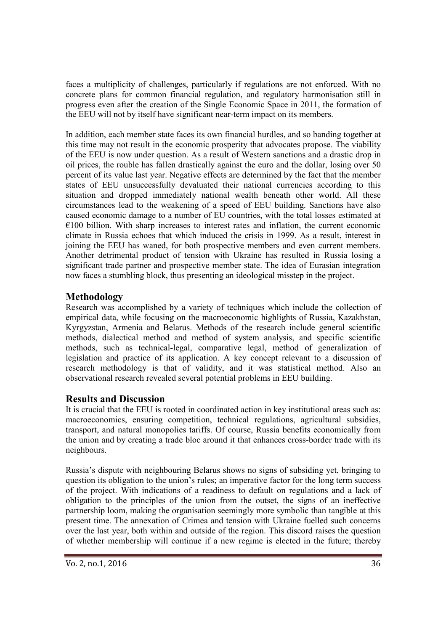faces a multiplicity of challenges, particularly if regulations are not enforced. With no concrete plans for common financial regulation, and regulatory harmonisation still in progress even after the creation of the Single Economic Space in 2011, the formation of the EEU will not by itself have significant near-term impact on its members.

In addition, each member state faces its own financial hurdles, and so banding together at this time may not result in the economic prosperity that advocates propose. The viability of the EEU is now under question. As a result of Western sanctions and a drastic drop in oil prices, the rouble has fallen drastically against the euro and the dollar, losing over 50 percent of its value last year. Negative effects are determined by the fact that the member states of EEU unsuccessfully devaluated their national currencies according to this situation and dropped immediately national wealth beneath other world. All these circumstances lead to the weakening of a speed of EEU building. Sanctions have also caused economic damage to a number of EU countries, with the total losses estimated at  $€100$  billion. With sharp increases to interest rates and inflation, the current economic climate in Russia echoes that which induced the crisis in 1999. As a result, interest in joining the EEU has waned, for both prospective members and even current members. Another detrimental product of tension with Ukraine has resulted in Russia losing a significant trade partner and prospective member state. The idea of Eurasian integration now faces a stumbling block, thus presenting an ideological misstep in the project.

# **Methodology**

Research was accomplished by a variety of techniques which include the collection of empirical data, while focusing on the macroeconomic highlights of Russia, Kazakhstan, Kyrgyzstan, Armenia and Belarus. Methods of the research include general scientific methods, dialectical method and method of system analysis, and specific scientific methods, such as technical-legal, comparative legal, method of generalization of legislation and practice of its application. A key concept relevant to a discussion of research methodology is that of validity, and it was statistical method. Also an observational research revealed several potential problems in EEU building.

## **Results and Discussion**

It is crucial that the EEU is rooted in coordinated action in key institutional areas such as: macroeconomics, ensuring competition, technical regulations, agricultural subsidies, transport, and natural monopolies tariffs. Of course, Russia benefits economically from the union and by creating a trade bloc around it that enhances cross-border trade with its neighbours.

Russia's dispute with neighbouring Belarus shows no signs of subsiding yet, bringing to question its obligation to the union's rules; an imperative factor for the long term success of the project. With indications of a readiness to default on regulations and a lack of obligation to the principles of the union from the outset, the signs of an ineffective partnership loom, making the organisation seemingly more symbolic than tangible at this present time. The annexation of Crimea and tension with Ukraine fuelled such concerns over the last year, both within and outside of the region. This discord raises the question of whether membership will continue if a new regime is elected in the future; thereby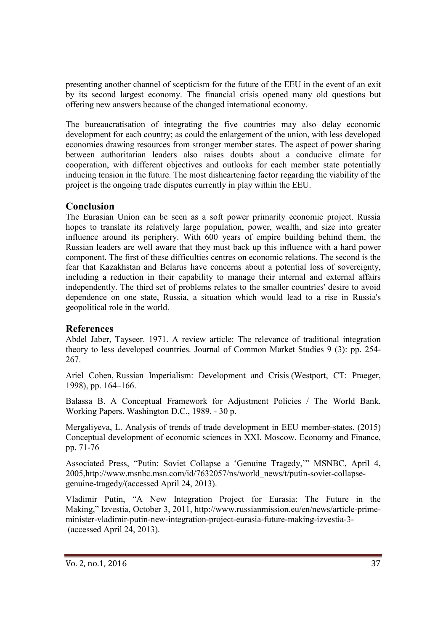presenting another channel of scepticism for the future of the EEU in the event of an exit by its second largest economy. The financial crisis opened many old questions but offering new answers because of the changed international economy.

The bureaucratisation of integrating the five countries may also delay economic development for each country; as could the enlargement of the union, with less developed economies drawing resources from stronger member states. The aspect of power sharing between authoritarian leaders also raises doubts about a conducive climate for cooperation, with different objectives and outlooks for each member state potentially inducing tension in the future. The most disheartening factor regarding the viability of the project is the ongoing trade disputes currently in play within the EEU.

## **Conclusion**

The Eurasian Union can be seen as a soft power primarily economic project. Russia hopes to translate its relatively large population, power, wealth, and size into greater influence around its periphery. With 600 years of empire building behind them, the Russian leaders are well aware that they must back up this influence with a hard power component. The first of these difficulties centres on economic relations. The second is the fear that Kazakhstan and Belarus have concerns about a potential loss of sovereignty, including a reduction in their capability to manage their internal and external affairs independently. The third set of problems relates to the smaller countries' desire to avoid dependence on one state, Russia, a situation which would lead to a rise in Russia's geopolitical role in the world.

## **References**

Abdel Jaber, Tayseer. 1971. A review article: The relevance of traditional integration theory to less developed countries. Journal of Common Market Studies 9 (3): pp. 254- 267.

Ariel Cohen, Russian Imperialism: Development and Crisis (Westport, CT: Praeger, 1998), pp. 164–166.

Balassa B. A Conceptual Framework for Adjustment Policies / The World Bank. Working Papers. Washington D.C., 1989. - 30 p.

Mergaliyeva, L. Analysis of trends of trade development in EEU member-states. (2015) Conceptual development of economic sciences in XXI. Moscow. Economy and Finance, pp. 71-76

Associated Press, "Putin: Soviet Collapse a 'Genuine Tragedy,'" MSNBC, April 4, 2005,http://www.msnbc.msn.com/id/7632057/ns/world\_news/t/putin-soviet-collapsegenuine-tragedy/(accessed April 24, 2013).

Vladimir Putin, "A New Integration Project for Eurasia: The Future in the Making," Izvestia, October 3, 2011, http://www.russianmission.eu/en/news/article-primeminister-vladimir-putin-new-integration-project-eurasia-future-making-izvestia-3- (accessed April 24, 2013).